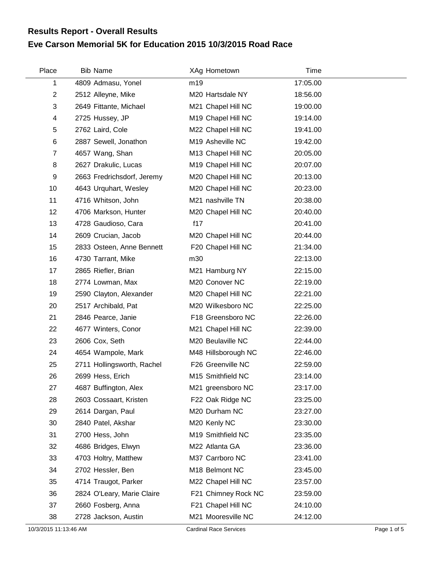## **Eve Carson Memorial 5K for Education 2015 10/3/2015 Road Race Results Report - Overall Results**

| Place          | <b>Bib Name</b>            | XAg Hometown        | Time     |
|----------------|----------------------------|---------------------|----------|
| 1              | 4809 Admasu, Yonel         | m19                 | 17:05.00 |
| $\overline{2}$ | 2512 Alleyne, Mike         | M20 Hartsdale NY    | 18:56.00 |
| 3              | 2649 Fittante, Michael     | M21 Chapel Hill NC  | 19:00.00 |
| 4              | 2725 Hussey, JP            | M19 Chapel Hill NC  | 19:14.00 |
| 5              | 2762 Laird, Cole           | M22 Chapel Hill NC  | 19:41.00 |
| 6              | 2887 Sewell, Jonathon      | M19 Asheville NC    | 19:42.00 |
| $\overline{7}$ | 4657 Wang, Shan            | M13 Chapel Hill NC  | 20:05.00 |
| 8              | 2627 Drakulic, Lucas       | M19 Chapel Hill NC  | 20:07.00 |
| 9              | 2663 Fredrichsdorf, Jeremy | M20 Chapel Hill NC  | 20:13.00 |
| 10             | 4643 Urquhart, Wesley      | M20 Chapel Hill NC  | 20:23.00 |
| 11             | 4716 Whitson, John         | M21 nashville TN    | 20:38.00 |
| 12             | 4706 Markson, Hunter       | M20 Chapel Hill NC  | 20:40.00 |
| 13             | 4728 Gaudioso, Cara        | f17                 | 20:41.00 |
| 14             | 2609 Crucian, Jacob        | M20 Chapel Hill NC  | 20:44.00 |
| 15             | 2833 Osteen, Anne Bennett  | F20 Chapel Hill NC  | 21:34.00 |
| 16             | 4730 Tarrant, Mike         | m30                 | 22:13.00 |
| 17             | 2865 Riefler, Brian        | M21 Hamburg NY      | 22:15.00 |
| 18             | 2774 Lowman, Max           | M20 Conover NC      | 22:19.00 |
| 19             | 2590 Clayton, Alexander    | M20 Chapel Hill NC  | 22:21.00 |
| 20             | 2517 Archibald, Pat        | M20 Wilkesboro NC   | 22:25.00 |
| 21             | 2846 Pearce, Janie         | F18 Greensboro NC   | 22:26.00 |
| 22             | 4677 Winters, Conor        | M21 Chapel Hill NC  | 22:39.00 |
| 23             | 2606 Cox, Seth             | M20 Beulaville NC   | 22:44.00 |
| 24             | 4654 Wampole, Mark         | M48 Hillsborough NC | 22:46.00 |
| 25             | 2711 Hollingsworth, Rachel | F26 Greenville NC   | 22:59.00 |
| 26             | 2699 Hess, Erich           | M15 Smithfield NC   | 23:14.00 |
| 27             | 4687 Buffington, Alex      | M21 greensboro NC   | 23:17.00 |
| 28             | 2603 Cossaart, Kristen     | F22 Oak Ridge NC    | 23:25.00 |
| 29             | 2614 Dargan, Paul          | M20 Durham NC       | 23:27.00 |
| 30             | 2840 Patel, Akshar         | M20 Kenly NC        | 23:30.00 |
| 31             | 2700 Hess, John            | M19 Smithfield NC   | 23:35.00 |
| 32             | 4686 Bridges, Elwyn        | M22 Atlanta GA      | 23:36.00 |
| 33             | 4703 Holtry, Matthew       | M37 Carrboro NC     | 23:41.00 |
| 34             | 2702 Hessler, Ben          | M18 Belmont NC      | 23:45.00 |
| 35             | 4714 Traugot, Parker       | M22 Chapel Hill NC  | 23:57.00 |
| 36             | 2824 O'Leary, Marie Claire | F21 Chimney Rock NC | 23:59.00 |
| 37             | 2660 Fosberg, Anna         | F21 Chapel Hill NC  | 24:10.00 |
| 38             | 2728 Jackson, Austin       | M21 Mooresville NC  | 24:12.00 |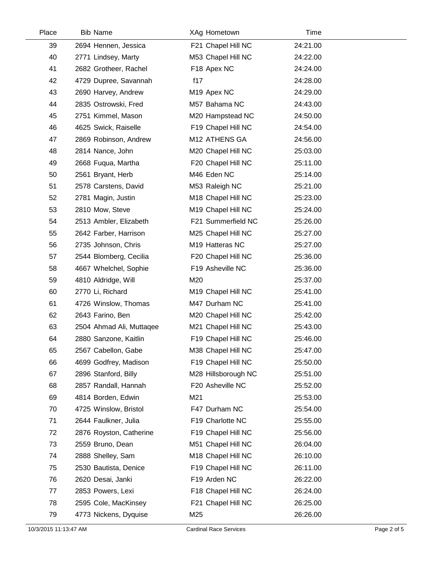| Place | <b>Bib Name</b>          | XAg Hometown                   | Time     |  |
|-------|--------------------------|--------------------------------|----------|--|
| 39    | 2694 Hennen, Jessica     | F21 Chapel Hill NC             | 24:21.00 |  |
| 40    | 2771 Lindsey, Marty      | M53 Chapel Hill NC             | 24:22.00 |  |
| 41    | 2682 Grotheer, Rachel    | F18 Apex NC                    | 24:24.00 |  |
| 42    | 4729 Dupree, Savannah    | f17                            | 24:28.00 |  |
| 43    | 2690 Harvey, Andrew      | M <sub>19</sub> Apex NC        | 24:29.00 |  |
| 44    | 2835 Ostrowski, Fred     | M57 Bahama NC                  | 24:43.00 |  |
| 45    | 2751 Kimmel, Mason       | M20 Hampstead NC               | 24:50.00 |  |
| 46    | 4625 Swick, Raiselle     | F19 Chapel Hill NC             | 24:54.00 |  |
| 47    | 2869 Robinson, Andrew    | M12 ATHENS GA                  | 24:56.00 |  |
| 48    | 2814 Nance, John         | M20 Chapel Hill NC             | 25:03.00 |  |
| 49    | 2668 Fuqua, Martha       | F20 Chapel Hill NC             | 25:11.00 |  |
| 50    | 2561 Bryant, Herb        | M46 Eden NC                    | 25:14.00 |  |
| 51    | 2578 Carstens, David     | M53 Raleigh NC                 | 25:21.00 |  |
| 52    | 2781 Magin, Justin       | M18 Chapel Hill NC             | 25:23.00 |  |
| 53    | 2810 Mow, Steve          | M19 Chapel Hill NC             | 25:24.00 |  |
| 54    | 2513 Ambler, Elizabeth   | F21 Summerfield NC             | 25:26.00 |  |
| 55    | 2642 Farber, Harrison    | M25 Chapel Hill NC             | 25:27.00 |  |
| 56    | 2735 Johnson, Chris      | M19 Hatteras NC                | 25:27.00 |  |
| 57    | 2544 Blomberg, Cecilia   | F20 Chapel Hill NC             | 25:36.00 |  |
| 58    | 4667 Whelchel, Sophie    | F19 Asheville NC               | 25:36.00 |  |
| 59    | 4810 Aldridge, Will      | M20                            | 25:37.00 |  |
| 60    | 2770 Li, Richard         | M <sub>19</sub> Chapel Hill NC | 25:41.00 |  |
| 61    | 4726 Winslow, Thomas     | M47 Durham NC                  | 25:41.00 |  |
| 62    | 2643 Farino, Ben         | M20 Chapel Hill NC             | 25:42.00 |  |
| 63    | 2504 Ahmad Ali, Muttaqee | M21 Chapel Hill NC             | 25:43.00 |  |
| 64    | 2880 Sanzone, Kaitlin    | F19 Chapel Hill NC             | 25:46.00 |  |
| 65    | 2567 Cabellon, Gabe      | M38 Chapel Hill NC             | 25:47.00 |  |
| 66    | 4699 Godfrey, Madison    | F19 Chapel Hill NC             | 25:50.00 |  |
| 67    | 2896 Stanford, Billy     | M28 Hillsborough NC            | 25:51.00 |  |
| 68    | 2857 Randall, Hannah     | F20 Asheville NC               | 25:52.00 |  |
| 69    | 4814 Borden, Edwin       | M21                            | 25:53.00 |  |
| 70    | 4725 Winslow, Bristol    | F47 Durham NC                  | 25:54.00 |  |
| 71    | 2644 Faulkner, Julia     | F19 Charlotte NC               | 25:55.00 |  |
| 72    | 2876 Royston, Catherine  | F19 Chapel Hill NC             | 25:56.00 |  |
| 73    | 2559 Bruno, Dean         | M51 Chapel Hill NC             | 26:04.00 |  |
| 74    | 2888 Shelley, Sam        | M18 Chapel Hill NC             | 26:10.00 |  |
| 75    | 2530 Bautista, Denice    | F19 Chapel Hill NC             | 26:11.00 |  |
| 76    | 2620 Desai, Janki        | F19 Arden NC                   | 26:22.00 |  |
| 77    | 2853 Powers, Lexi        | F18 Chapel Hill NC             | 26:24.00 |  |
| 78    | 2595 Cole, MacKinsey     | F21 Chapel Hill NC             | 26:25.00 |  |
| 79    | 4773 Nickens, Dyquise    | M25                            | 26:26.00 |  |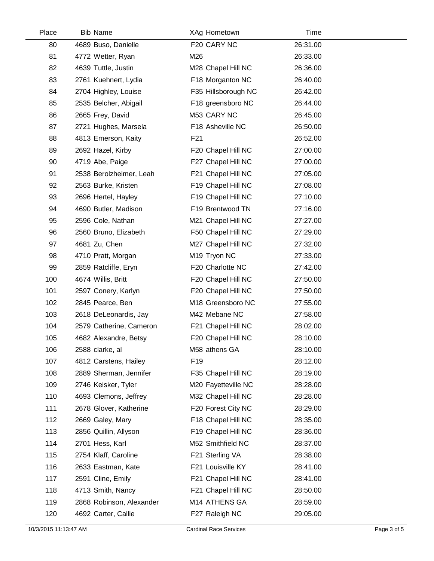| Place | <b>Bib Name</b>          | XAg Hometown        | Time     |  |
|-------|--------------------------|---------------------|----------|--|
| 80    | 4689 Buso, Danielle      | F20 CARY NC         | 26:31.00 |  |
| 81    | 4772 Wetter, Ryan        | M26                 | 26:33.00 |  |
| 82    | 4639 Tuttle, Justin      | M28 Chapel Hill NC  | 26:36.00 |  |
| 83    | 2761 Kuehnert, Lydia     | F18 Morganton NC    | 26:40.00 |  |
| 84    | 2704 Highley, Louise     | F35 Hillsborough NC | 26:42.00 |  |
| 85    | 2535 Belcher, Abigail    | F18 greensboro NC   | 26:44.00 |  |
| 86    | 2665 Frey, David         | M53 CARY NC         | 26:45.00 |  |
| 87    | 2721 Hughes, Marsela     | F18 Asheville NC    | 26:50.00 |  |
| 88    | 4813 Emerson, Kaity      | F21                 | 26:52.00 |  |
| 89    | 2692 Hazel, Kirby        | F20 Chapel Hill NC  | 27:00.00 |  |
| 90    | 4719 Abe, Paige          | F27 Chapel Hill NC  | 27:00.00 |  |
| 91    | 2538 Berolzheimer, Leah  | F21 Chapel Hill NC  | 27:05.00 |  |
| 92    | 2563 Burke, Kristen      | F19 Chapel Hill NC  | 27:08.00 |  |
| 93    | 2696 Hertel, Hayley      | F19 Chapel Hill NC  | 27:10.00 |  |
| 94    | 4690 Butler, Madison     | F19 Brentwood TN    | 27:16.00 |  |
| 95    | 2596 Cole, Nathan        | M21 Chapel Hill NC  | 27:27.00 |  |
| 96    | 2560 Bruno, Elizabeth    | F50 Chapel Hill NC  | 27:29.00 |  |
| 97    | 4681 Zu, Chen            | M27 Chapel Hill NC  | 27:32.00 |  |
| 98    | 4710 Pratt, Morgan       | M19 Tryon NC        | 27:33.00 |  |
| 99    | 2859 Ratcliffe, Eryn     | F20 Charlotte NC    | 27:42.00 |  |
| 100   | 4674 Willis, Britt       | F20 Chapel Hill NC  | 27:50.00 |  |
| 101   | 2597 Conery, Karlyn      | F20 Chapel Hill NC  | 27:50.00 |  |
| 102   | 2845 Pearce, Ben         | M18 Greensboro NC   | 27:55.00 |  |
| 103   | 2618 DeLeonardis, Jay    | M42 Mebane NC       | 27:58.00 |  |
| 104   | 2579 Catherine, Cameron  | F21 Chapel Hill NC  | 28:02.00 |  |
| 105   | 4682 Alexandre, Betsy    | F20 Chapel Hill NC  | 28:10.00 |  |
| 106   | 2588 clarke, al          | M58 athens GA       | 28:10.00 |  |
| 107   | 4812 Carstens, Hailey    | F <sub>19</sub>     | 28:12.00 |  |
| 108   | 2889 Sherman, Jennifer   | F35 Chapel Hill NC  | 28:19.00 |  |
| 109   | 2746 Keisker, Tyler      | M20 Fayetteville NC | 28:28.00 |  |
| 110   | 4693 Clemons, Jeffrey    | M32 Chapel Hill NC  | 28:28.00 |  |
| 111   | 2678 Glover, Katherine   | F20 Forest City NC  | 28:29.00 |  |
| 112   | 2669 Galey, Mary         | F18 Chapel Hill NC  | 28:35.00 |  |
| 113   | 2856 Quillin, Allyson    | F19 Chapel Hill NC  | 28:36.00 |  |
| 114   | 2701 Hess, Karl          | M52 Smithfield NC   | 28:37.00 |  |
| 115   | 2754 Klaff, Caroline     | F21 Sterling VA     | 28:38.00 |  |
| 116   | 2633 Eastman, Kate       | F21 Louisville KY   | 28:41.00 |  |
| 117   | 2591 Cline, Emily        | F21 Chapel Hill NC  | 28:41.00 |  |
| 118   | 4713 Smith, Nancy        | F21 Chapel Hill NC  | 28:50.00 |  |
| 119   | 2868 Robinson, Alexander | M14 ATHENS GA       | 28:59.00 |  |
| 120   | 4692 Carter, Callie      | F27 Raleigh NC      | 29:05.00 |  |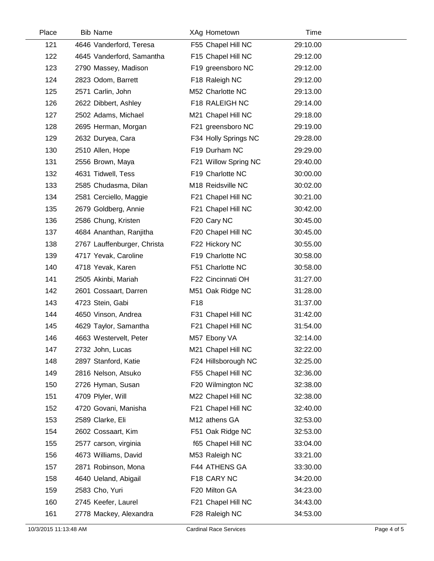| Place | <b>Bib Name</b>             | XAg Hometown         | Time     |  |
|-------|-----------------------------|----------------------|----------|--|
| 121   | 4646 Vanderford, Teresa     | F55 Chapel Hill NC   | 29:10.00 |  |
| 122   | 4645 Vanderford, Samantha   | F15 Chapel Hill NC   | 29:12.00 |  |
| 123   | 2790 Massey, Madison        | F19 greensboro NC    | 29:12.00 |  |
| 124   | 2823 Odom, Barrett          | F18 Raleigh NC       | 29:12.00 |  |
| 125   | 2571 Carlin, John           | M52 Charlotte NC     | 29:13.00 |  |
| 126   | 2622 Dibbert, Ashley        | F18 RALEIGH NC       | 29:14.00 |  |
| 127   | 2502 Adams, Michael         | M21 Chapel Hill NC   | 29:18.00 |  |
| 128   | 2695 Herman, Morgan         | F21 greensboro NC    | 29:19.00 |  |
| 129   | 2632 Duryea, Cara           | F34 Holly Springs NC | 29:28.00 |  |
| 130   | 2510 Allen, Hope            | F19 Durham NC        | 29:29.00 |  |
| 131   | 2556 Brown, Maya            | F21 Willow Spring NC | 29:40.00 |  |
| 132   | 4631 Tidwell, Tess          | F19 Charlotte NC     | 30:00.00 |  |
| 133   | 2585 Chudasma, Dilan        | M18 Reidsville NC    | 30:02.00 |  |
| 134   | 2581 Cerciello, Maggie      | F21 Chapel Hill NC   | 30:21.00 |  |
| 135   | 2679 Goldberg, Annie        | F21 Chapel Hill NC   | 30:42.00 |  |
| 136   | 2586 Chung, Kristen         | F20 Cary NC          | 30:45.00 |  |
| 137   | 4684 Ananthan, Ranjitha     | F20 Chapel Hill NC   | 30:45.00 |  |
| 138   | 2767 Lauffenburger, Christa | F22 Hickory NC       | 30:55.00 |  |
| 139   | 4717 Yevak, Caroline        | F19 Charlotte NC     | 30:58.00 |  |
| 140   | 4718 Yevak, Karen           | F51 Charlotte NC     | 30:58.00 |  |
| 141   | 2505 Akinbi, Mariah         | F22 Cincinnati OH    | 31:27.00 |  |
| 142   | 2601 Cossaart, Darren       | M51 Oak Ridge NC     | 31:28.00 |  |
| 143   | 4723 Stein, Gabi            | F18                  | 31:37.00 |  |
| 144   | 4650 Vinson, Andrea         | F31 Chapel Hill NC   | 31:42.00 |  |
| 145   | 4629 Taylor, Samantha       | F21 Chapel Hill NC   | 31:54.00 |  |
| 146   | 4663 Westervelt, Peter      | M57 Ebony VA         | 32:14.00 |  |
| 147   | 2732 John, Lucas            | M21 Chapel Hill NC   | 32:22.00 |  |
| 148   | 2897 Stanford, Katie        | F24 Hillsborough NC  | 32:25.00 |  |
| 149   | 2816 Nelson, Atsuko         | F55 Chapel Hill NC   | 32:36.00 |  |
| 150   | 2726 Hyman, Susan           | F20 Wilmington NC    | 32:38.00 |  |
| 151   | 4709 Plyler, Will           | M22 Chapel Hill NC   | 32:38.00 |  |
| 152   | 4720 Govani, Manisha        | F21 Chapel Hill NC   | 32:40.00 |  |
| 153   | 2589 Clarke, Eli            | M12 athens GA        | 32:53.00 |  |
| 154   | 2602 Cossaart, Kim          | F51 Oak Ridge NC     | 32:53.00 |  |
| 155   | 2577 carson, virginia       | f65 Chapel Hill NC   | 33:04.00 |  |
| 156   | 4673 Williams, David        | M53 Raleigh NC       | 33:21.00 |  |
| 157   | 2871 Robinson, Mona         | F44 ATHENS GA        | 33:30.00 |  |
| 158   | 4640 Ueland, Abigail        | F18 CARY NC          | 34:20.00 |  |
| 159   | 2583 Cho, Yuri              | F20 Milton GA        | 34:23.00 |  |
| 160   | 2745 Keefer, Laurel         | F21 Chapel Hill NC   | 34:43.00 |  |
| 161   | 2778 Mackey, Alexandra      | F28 Raleigh NC       | 34:53.00 |  |